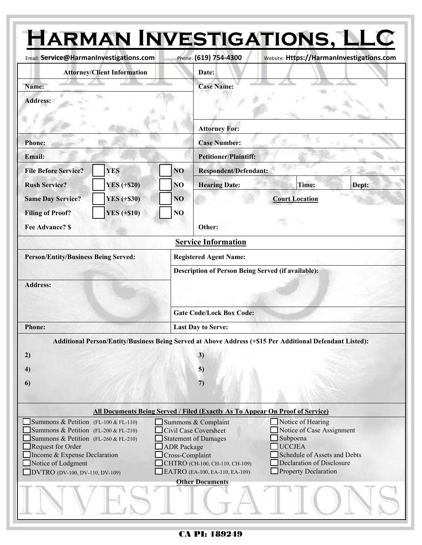| Email: Service@HarmanInvestigations.com                                                                                                                                                                                           |                                                                                      |                                       | Phone: (619) 754-4300                                                                                                                                              | <b>HARMAN INVESTIGATIONS, LLC</b><br>Website: Https://HarmanInvestigations.com                                                                                   |  |  |  |  |  |
|-----------------------------------------------------------------------------------------------------------------------------------------------------------------------------------------------------------------------------------|--------------------------------------------------------------------------------------|---------------------------------------|--------------------------------------------------------------------------------------------------------------------------------------------------------------------|------------------------------------------------------------------------------------------------------------------------------------------------------------------|--|--|--|--|--|
| <b>Attorney/Client Information</b>                                                                                                                                                                                                |                                                                                      |                                       | Date:                                                                                                                                                              |                                                                                                                                                                  |  |  |  |  |  |
| Name:                                                                                                                                                                                                                             |                                                                                      |                                       | <b>Case Name:</b>                                                                                                                                                  |                                                                                                                                                                  |  |  |  |  |  |
| <b>Address:</b>                                                                                                                                                                                                                   |                                                                                      |                                       |                                                                                                                                                                    |                                                                                                                                                                  |  |  |  |  |  |
|                                                                                                                                                                                                                                   |                                                                                      |                                       | <b>Attorney For:</b>                                                                                                                                               |                                                                                                                                                                  |  |  |  |  |  |
| <b>Phone:</b>                                                                                                                                                                                                                     |                                                                                      |                                       | <b>Case Number:</b>                                                                                                                                                |                                                                                                                                                                  |  |  |  |  |  |
| <b>Email:</b>                                                                                                                                                                                                                     |                                                                                      |                                       | <b>Petitioner/Plaintiff:</b>                                                                                                                                       |                                                                                                                                                                  |  |  |  |  |  |
| <b>File Before Service?</b>                                                                                                                                                                                                       | <b>YES</b>                                                                           | N <sub>O</sub>                        | <b>Respondent/Defendant:</b>                                                                                                                                       |                                                                                                                                                                  |  |  |  |  |  |
| <b>Rush Service?</b>                                                                                                                                                                                                              | YES $(+\$20)$                                                                        | NO                                    | <b>Hearing Date:</b>                                                                                                                                               | Time:<br>Dept:                                                                                                                                                   |  |  |  |  |  |
| <b>Same Day Service?</b>                                                                                                                                                                                                          | <b>YES</b> (+\$30)                                                                   | NO                                    |                                                                                                                                                                    | <b>Court Location</b>                                                                                                                                            |  |  |  |  |  |
| <b>Filing of Proof?</b>                                                                                                                                                                                                           | <b>YES</b> (+\$10)                                                                   | NO                                    |                                                                                                                                                                    |                                                                                                                                                                  |  |  |  |  |  |
| <b>Fee Advance? \$</b>                                                                                                                                                                                                            |                                                                                      |                                       | Other:                                                                                                                                                             |                                                                                                                                                                  |  |  |  |  |  |
|                                                                                                                                                                                                                                   |                                                                                      |                                       | <b>Service Information</b>                                                                                                                                         |                                                                                                                                                                  |  |  |  |  |  |
|                                                                                                                                                                                                                                   |                                                                                      |                                       |                                                                                                                                                                    |                                                                                                                                                                  |  |  |  |  |  |
| <b>Person/Entity/Business Being Served:</b>                                                                                                                                                                                       |                                                                                      |                                       | <b>Registered Agent Name:</b><br><b>Description of Person Being Served (if available):</b>                                                                         |                                                                                                                                                                  |  |  |  |  |  |
| <b>Address:</b>                                                                                                                                                                                                                   |                                                                                      |                                       | <b>Gate Code/Lock Box Code:</b>                                                                                                                                    |                                                                                                                                                                  |  |  |  |  |  |
| <b>Phone:</b>                                                                                                                                                                                                                     |                                                                                      |                                       | <b>Last Day to Serve:</b>                                                                                                                                          |                                                                                                                                                                  |  |  |  |  |  |
| 2)<br>4)<br>6                                                                                                                                                                                                                     |                                                                                      |                                       | 3)<br>5)<br>7)                                                                                                                                                     | Additional Person/Entity/Business Being Served at Above Address (+\$15 Per Additional Defendant Listed):                                                         |  |  |  |  |  |
|                                                                                                                                                                                                                                   | <b>All Documents Being Served / Filed (Exactly As To Appear On Proof of Service)</b> |                                       |                                                                                                                                                                    |                                                                                                                                                                  |  |  |  |  |  |
| Summons & Petition (FL-100 & FL-110)<br>Summons & Petition (FL-200 & FL-210)<br>Summons & Petition (FL-260 & FL-210)<br>Request for Order<br>Income & Expense Declaration<br>Notice of Lodgment<br>DVTRO (DV-100, DV-110, DV-109) |                                                                                      | <b>ADR</b> Package<br>Cross-Complaint | Summons & Complaint<br>Civil Case Coversheet<br>Statement of Damages<br>CHTRO (CH-100, CH-110, CH-109)<br>EATRO (EA-100, EA-110, EA-109)<br><b>Other Documents</b> | Notice of Hearing<br>Notice of Case Assignment<br>Subpoena<br><b>UCCJEA</b><br>Schedule of Assets and Debts<br>Declaration of Disclosure<br>Property Declaration |  |  |  |  |  |
|                                                                                                                                                                                                                                   |                                                                                      |                                       |                                                                                                                                                                    |                                                                                                                                                                  |  |  |  |  |  |

## CA PI: 189249